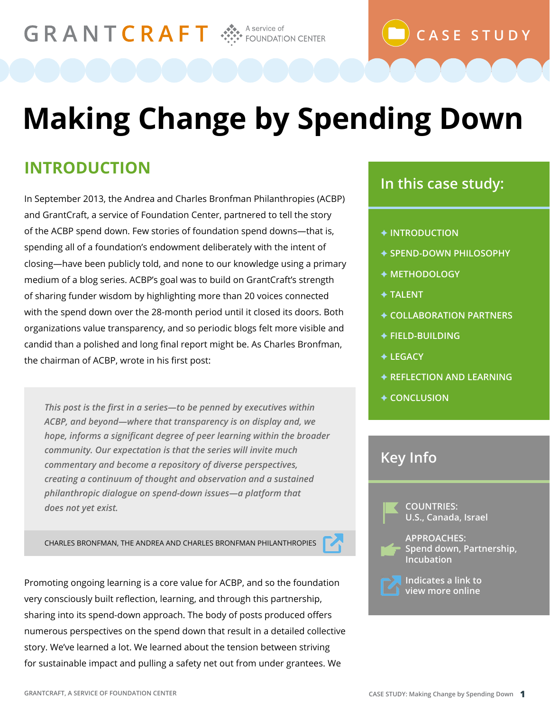GRANTCRAFT SA A Service of

# **Making Change by Spending Down**

### **INTRODUCTION**

In September 2013, the Andrea and Charles Bronfman Philanthropies (ACBP) and GrantCraft, a service of Foundation Center, partnered to tell the story of the ACBP spend down. Few stories of foundation spend downs—that is, spending all of a foundation's endowment deliberately with the intent of closing—have been publicly told, and none to our knowledge using a primary medium of a blog series. ACBP's goal was to build on GrantCraft's strength of sharing funder wisdom by highlighting more than 20 voices connected with the spend down over the 28-month period until it closed its doors. Both organizations value transparency, and so periodic blogs felt more visible and candid than a polished and long final report might be. As Charles Bronfman, the chairman of ACBP, wrote in his first post:

*This post is the first in a series—to be penned by executives within ACBP, and beyond—where that transparency is on display and, we hope, informs a significant degree of peer learning within the broader community. Our expectation is that the series will invite much commentary and become a repository of diverse perspectives, creating a continuum of thought and observation and a sustained philanthropic dialogue on spend-down issues—a platform that does not yet exist.*

CHARLES BRONFMAN, THE ANDREA AND CHARLES BRONFMAN PHILANTHROPIES



#### **In this case study:**

**CASE STUDY**

#### $\blacklozenge$  **INTRODUCTION**

- F **SPEND-DOWN PHILOSOPHY**
- $\blacklozenge$  **METHODOLOGY**
- **← TALENT**
- F **COLLABORATION PARTNERS**
- F **FIELD-BUILDING**
- **← LEGACY**
- **EXAMPLE FRAMING**
- **← CONCLUSION**

#### **Key Info**

 **COUNTRIES: U.S., Canada, Israel**

 **APPROACHES: Spend down, Partnership, Incubation**



 **Indicates a link to view more online**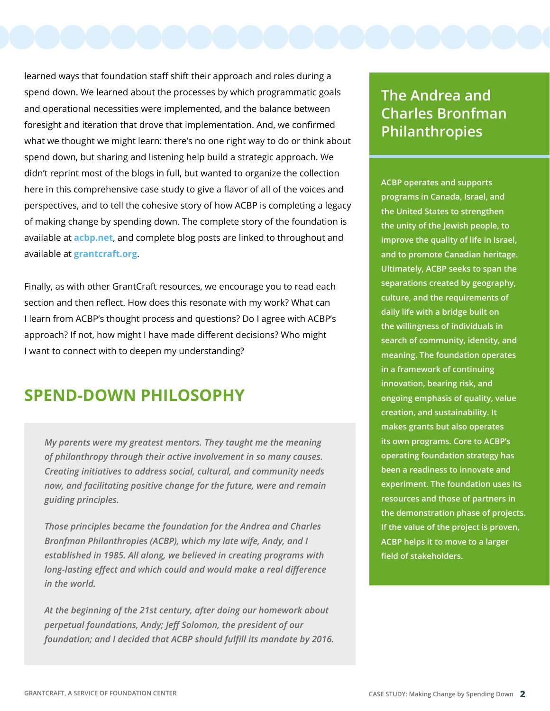learned ways that foundation staff shift their approach and roles during a spend down. We learned about the processes by which programmatic goals and operational necessities were implemented, and the balance between foresight and iteration that drove that implementation. And, we confirmed what we thought we might learn: there's no one right way to do or think about spend down, but sharing and listening help build a strategic approach. We didn't reprint most of the blogs in full, but wanted to organize the collection here in this comprehensive case study to give a flavor of all of the voices and perspectives, and to tell the cohesive story of how ACBP is completing a legacy of making change by spending down. The complete story of the foundation is available at **[acbp.net](http://www.acbp.net)**, and complete blog posts are linked to throughout and available at **[grantcraft.org](http://www.grantcraft.org)**.

Finally, as with other GrantCraft resources, we encourage you to read each section and then reflect. How does this resonate with my work? What can I learn from ACBP's thought process and questions? Do I agree with ACBP's approach? If not, how might I have made different decisions? Who might I want to connect with to deepen my understanding?

#### **SPEND-DOWN PHILOSOPHY**

*My parents were my greatest mentors. They taught me the meaning of philanthropy through their active involvement in so many causes. Creating initiatives to address social, cultural, and community needs now, and facilitating positive change for the future, were and remain guiding principles.*

*Those principles became the foundation for the Andrea and Charles Bronfman Philanthropies (ACBP), which my late wife, Andy, and I established in 1985. All along, we believed in creating programs with long-lasting effect and which could and would make a real difference in the world.*

*At the beginning of the 21st century, after doing our homework about perpetual foundations, Andy; Jeff Solomon, the president of our foundation; and I decided that ACBP should fulfill its mandate by 2016.* 

#### **The Andrea and Charles Bronfman Philanthropies**

**ACBP operates and supports programs in Canada, Israel, and the United States to strengthen the unity of the Jewish people, to improve the quality of life in Israel, and to promote Canadian heritage. Ultimately, ACBP seeks to span the separations created by geography, culture, and the requirements of daily life with a bridge built on the willingness of individuals in search of community, identity, and meaning. The foundation operates in a framework of continuing innovation, bearing risk, and ongoing emphasis of quality, value creation, and sustainability. It makes grants but also operates its own programs. Core to ACBP's operating foundation strategy has been a readiness to innovate and experiment. The foundation uses its resources and those of partners in the demonstration phase of projects. If the value of the project is proven, ACBP helps it to move to a larger field of stakeholders.**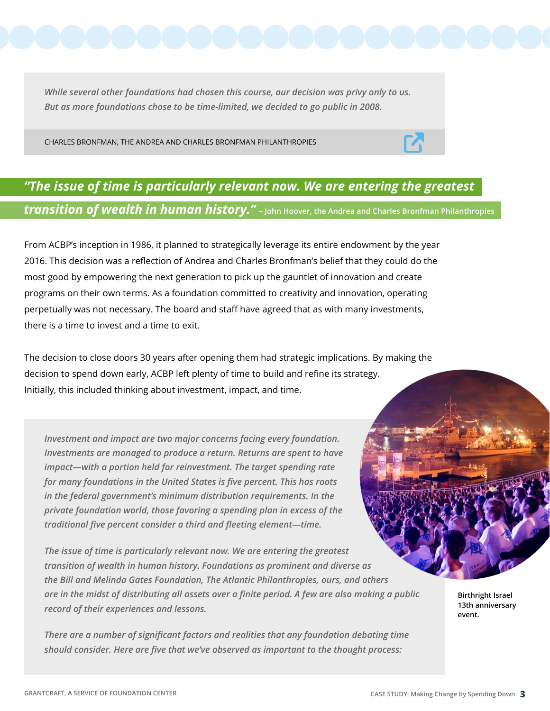*While several other foundations had chosen this course, our decision was privy only to us. But as more foundations chose to be time-limited, we decided to go public in 2008.* 

CHARLES BRONFMAN, THE ANDREA AND CHARLES BRONFMAN PHILANTHROPIES

#### *"The issue of time is particularly relevant now. We are entering the greatest transition of wealth in human history."* **– John Hoover, the Andrea and Charles Bronfman Philanthropies**

From ACBP's inception in 1986, it planned to strategically leverage its entire endowment by the year 2016. This decision was a reflection of Andrea and Charles Bronfman's belief that they could do the most good by empowering the next generation to pick up the gauntlet of innovation and create programs on their own terms. As a foundation committed to creativity and innovation, operating perpetually was not necessary. The board and staff have agreed that as with many investments, there is a time to invest and a time to exit.

The decision to close doors 30 years after opening them had strategic implications. By making the decision to spend down early, ACBP left plenty of time to build and refine its strategy. Initially, this included thinking about investment, impact, and time.

*Investment and impact are two major concerns facing every foundation. Investments are managed to produce a return. Returns are spent to have impact—with a portion held for reinvestment. The target spending rate for many foundations in the United States is five percent. This has roots in the federal government's minimum distribution requirements. In the private foundation world, those favoring a spending plan in excess of the traditional five percent consider a third and fleeting element—time.* 

*The issue of time is particularly relevant now. We are entering the greatest transition of wealth in human history. Foundations as prominent and diverse as the Bill and Melinda Gates Foundation, The Atlantic Philanthropies, ours, and others are in the midst of distributing all assets over a finite period. A few are also making a public record of their experiences and lessons.*

*There are a number of significant factors and realities that any foundation debating time should consider. Here are five that we've observed as important to the thought process:*

**Birthright Israel 13th anniversary event.**

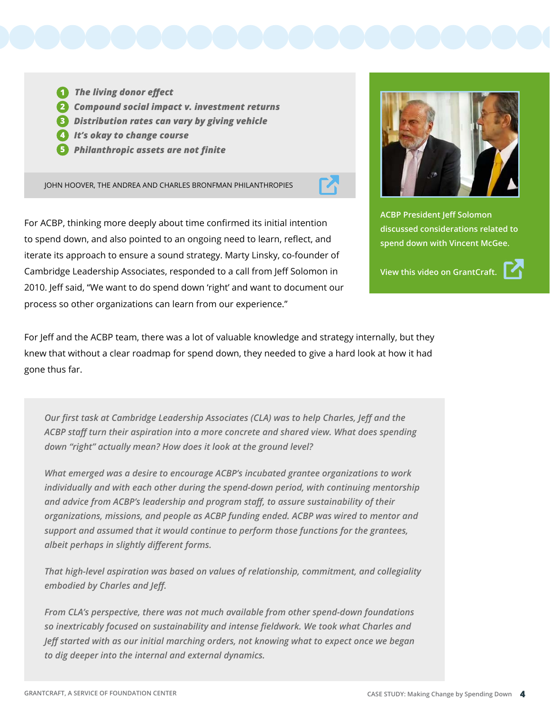

**1** The living donor effect  *Compound social impact v. investment returns* **2**  *Distribution rates can vary by giving vehicle* **3**  *It's okay to change course* **4**  *Philanthropic assets are not finite* **5**

JOHN HOOVER, THE ANDREA AND CHARLES BRONFMAN PHILANTHROPIES



For ACBP, thinking more deeply about time confirmed its initial intention to spend down, and also pointed to an ongoing need to learn, reflect, and iterate its approach to ensure a sound strategy. Marty Linsky, co-founder of Cambridge Leadership Associates, responded to a call from Jeff Solomon in 2010. Jeff said, "We want to do spend down 'right' and want to document our process so other organizations can learn from our experience."



**ACBP President Jeff Solomon discussed considerations related to spend down with Vincent McGee.** 

**View this video on GrantCraft.**



For Jeff and the ACBP team, there was a lot of valuable knowledge and strategy internally, but they knew that without a clear roadmap for spend down, they needed to give a hard look at how it had gone thus far.

*Our first task at Cambridge Leadership Associates (CLA) was to help Charles, Jeff and the ACBP staff turn their aspiration into a more concrete and shared view. What does spending down "right" actually mean? How does it look at the ground level?*

*What emerged was a desire to encourage ACBP's incubated grantee organizations to work individually and with each other during the spend-down period, with continuing mentorship and advice from ACBP's leadership and program staff, to assure sustainability of their organizations, missions, and people as ACBP funding ended. ACBP was wired to mentor and support and assumed that it would continue to perform those functions for the grantees, albeit perhaps in slightly different forms.*

*That high-level aspiration was based on values of relationship, commitment, and collegiality embodied by Charles and Jeff.*

*From CLA's perspective, there was not much available from other spend-down foundations so inextricably focused on sustainability and intense fieldwork. We took what Charles and Jeff started with as our initial marching orders, not knowing what to expect once we began to dig deeper into the internal and external dynamics.*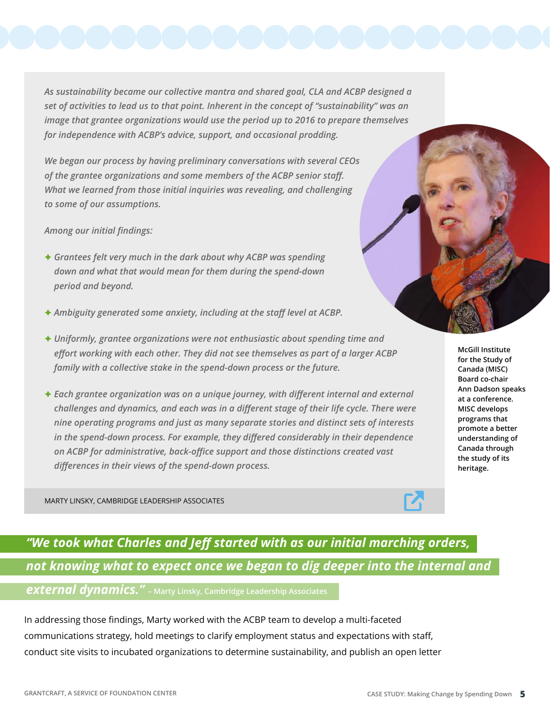*As sustainability became our collective mantra and shared goal, CLA and ACBP designed a set of activities to lead us to that point. Inherent in the concept of "sustainability" was an image that grantee organizations would use the period up to 2016 to prepare themselves for independence with ACBP's advice, support, and occasional prodding.*

*We began our process by having preliminary conversations with several CEOs of the grantee organizations and some members of the ACBP senior staff. What we learned from those initial inquiries was revealing, and challenging to some of our assumptions.*

*Among our initial findings:*

- F *Grantees felt very much in the dark about why ACBP was spending down and what that would mean for them during the spend-down period and beyond.*
- F *Ambiguity generated some anxiety, including at the staff level at ACBP.*
- F *Uniformly, grantee organizations were not enthusiastic about spending time and effort working with each other. They did not see themselves as part of a larger ACBP family with a collective stake in the spend-down process or the future.*
- **★ Each grantee organization was on a unique journey, with different internal and external** *challenges and dynamics, and each was in a different stage of their life cycle. There were nine operating programs and just as many separate stories and distinct sets of interests in the spend-down process. For example, they differed considerably in their dependence on ACBP for administrative, back-office support and those distinctions created vast differences in their views of the spend-down process.*

MARTY LINSKY, CAMBRIDGE LEADERSHIP ASSOCIATES

## *"We took what Charles and Jeff started with as our initial marching orders, not knowing what to expect once we began to dig deeper into the internal and*

*external dynamics."* **– Marty Linsky, Cambridge Leadership Associates**

In addressing those findings, Marty worked with the ACBP team to develop a multi-faceted communications strategy, hold meetings to clarify employment status and expectations with staff, conduct site visits to incubated organizations to determine sustainability, and publish an open letter





**McGill Institute for the Study of Canada (MISC) Board co-chair Ann Dadson speaks at a conference. MISC develops programs that promote a better understanding of Canada through the study of its heritage.**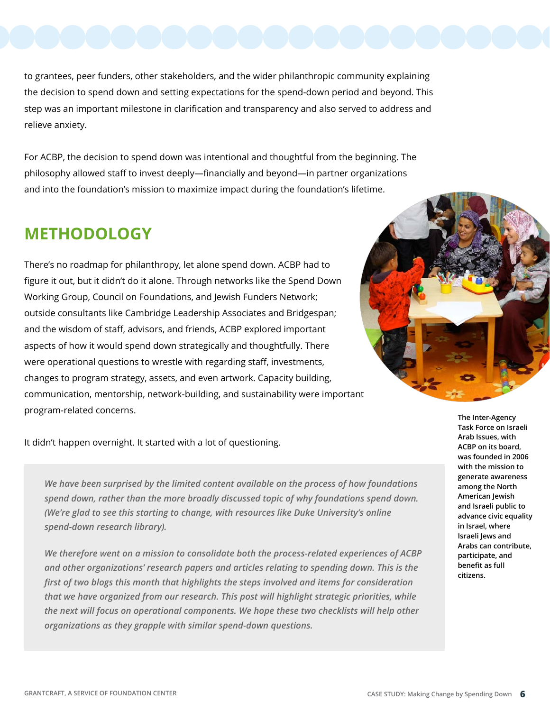to grantees, peer funders, other stakeholders, and the wider philanthropic community explaining the decision to spend down and setting expectations for the spend-down period and beyond. This step was an important milestone in clarification and transparency and also served to address and relieve anxiety.

For ACBP, the decision to spend down was intentional and thoughtful from the beginning. The philosophy allowed staff to invest deeply—financially and beyond—in partner organizations and into the foundation's mission to maximize impact during the foundation's lifetime.

#### **METHODOLOGY**

There's no roadmap for philanthropy, let alone spend down. ACBP had to figure it out, but it didn't do it alone. Through networks like the Spend Down Working Group, Council on Foundations, and Jewish Funders Network; outside consultants like Cambridge Leadership Associates and Bridgespan; and the wisdom of staff, advisors, and friends, ACBP explored important aspects of how it would spend down strategically and thoughtfully. There were operational questions to wrestle with regarding staff, investments, changes to program strategy, assets, and even artwork. Capacity building, communication, mentorship, network-building, and sustainability were important program-related concerns.



It didn't happen overnight. It started with a lot of questioning.

*We have been surprised by the limited content available on the process of how foundations spend down, rather than the more broadly discussed topic of why foundations spend down. (We're glad to see this starting to change, with resources like Duke University's online spend-down research library).* 

*We therefore went on a mission to consolidate both the process-related experiences of ACBP and other organizations' research papers and articles relating to spending down. This is the first of two blogs this month that highlights the steps involved and items for consideration that we have organized from our research. This post will highlight strategic priorities, while the next will focus on operational components. We hope these two checklists will help other organizations as they grapple with similar spend-down questions.* 

**The Inter-Agency Task Force on Israeli Arab Issues, with ACBP on its board, was founded in 2006 with the mission to generate awareness among the North American Jewish and Israeli public to advance civic equality in Israel, where Israeli Jews and Arabs can contribute, participate, and benefit as full citizens.**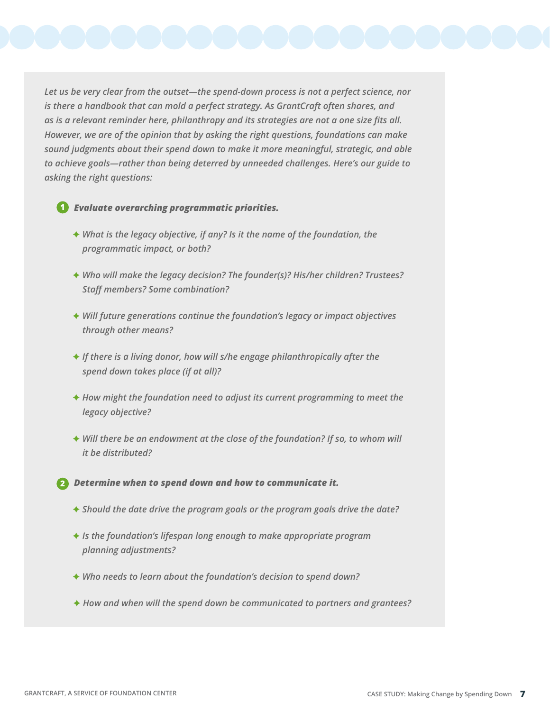*Let us be very clear from the outset—the spend-down process is not a perfect science, nor is there a handbook that can mold a perfect strategy. As GrantCraft often shares, and as is a relevant reminder here, philanthropy and its strategies are not a one size fits all. However, we are of the opinion that by asking the right questions, foundations can make sound judgments about their spend down to make it more meaningful, strategic, and able to achieve goals—rather than being deterred by unneeded challenges. Here's our guide to asking the right questions:* 

#### *Evaluate overarching programmatic priorities.*  **1**

- ◆ What is the legacy objective, if any? Is it the name of the foundation, the *programmatic impact, or both?*
- F *Who will make the legacy decision? The founder(s)? His/her children? Trustees? Staff members? Some combination?*
- ◆ Will future generations continue the foundation's legacy or impact objectives *through other means?*
- F *If there is a living donor, how will s/he engage philanthropically after the spend down takes place (if at all)?*
- ◆ How might the foundation need to adjust its current programming to meet the *legacy objective?*
- ◆ Will there be an endowment at the close of the foundation? If so, to whom will *it be distributed?*

 *Determine when to spend down and how to communicate it.*  **2**

- F *Should the date drive the program goals or the program goals drive the date?*
- F *Is the foundation's lifespan long enough to make appropriate program planning adjustments?*
- F *Who needs to learn about the foundation's decision to spend down?*
- F *How and when will the spend down be communicated to partners and grantees?*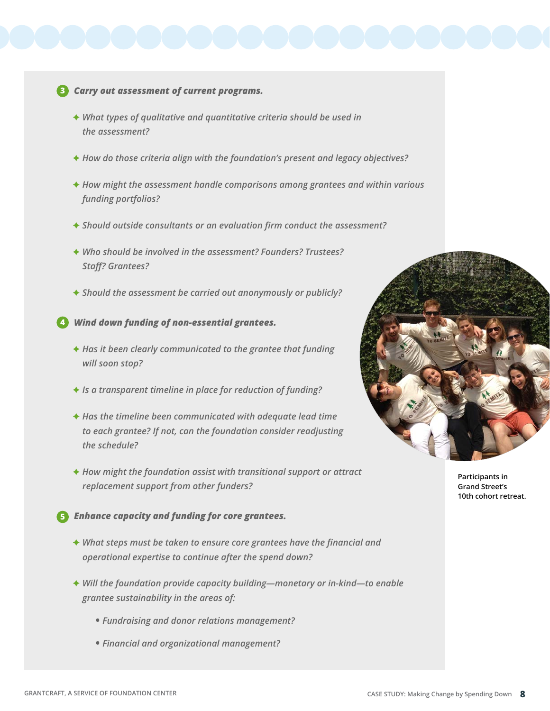#### *Carry out assessment of current programs.*  **3**

- F *What types of qualitative and quantitative criteria should be used in the assessment?*
- **★ How do those criteria align with the foundation's present and legacy objectives?**
- F *How might the assessment handle comparisons among grantees and within various funding portfolios?*
- F *Should outside consultants or an evaluation firm conduct the assessment?*
- F *Who should be involved in the assessment? Founders? Trustees? Staff? Grantees?*
- F *Should the assessment be carried out anonymously or publicly?*

 *Wind down funding of non-essential grantees.*  **4**

- **★ Has it been clearly communicated to the grantee that funding** *will soon stop?*
- F *Is a transparent timeline in place for reduction of funding?*
- F *Has the timeline been communicated with adequate lead time to each grantee? If not, can the foundation consider readjusting the schedule?*
- F *How might the foundation assist with transitional support or attract replacement support from other funders?*
- *Enhance capacity and funding for core grantees.*  **5**
	- ◆ What steps must be taken to ensure core grantees have the financial and *operational expertise to continue after the spend down?*
	- ◆ Will the foundation provide capacity building—monetary or in-kind—to enable *grantee sustainability in the areas of:* 
		- **•** *Fundraising and donor relations management?*
		- **•** *Financial and organizational management?*



**Participants in Grand Street's 10th cohort retreat.**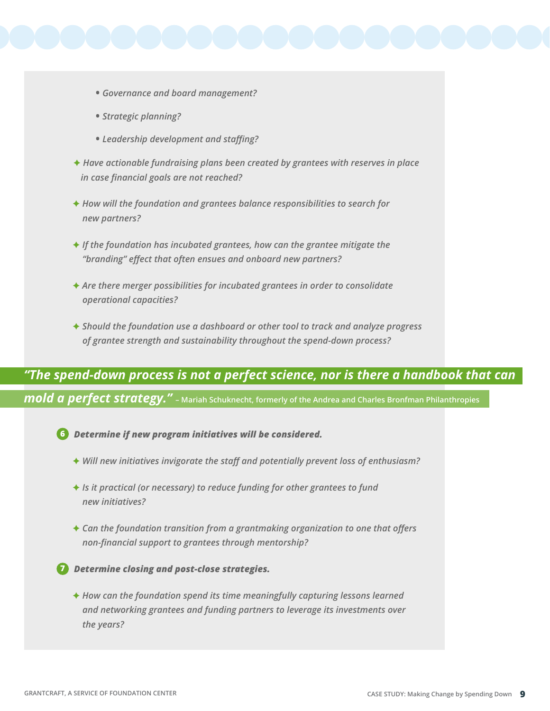- - **•** *Governance and board management?*
	- **•** *Strategic planning?*
	- **•** *Leadership development and staffing?*
	- **★ Have actionable fundraising plans been created by grantees with reserves in place** *in case financial goals are not reached?*
	- ◆ How will the foundation and grantees balance responsibilities to search for *new partners?*
	- **★ If the foundation has incubated grantees, how can the grantee mitigate the** *"branding" effect that often ensues and onboard new partners?*
	- ◆ Are there merger possibilities for incubated grantees in order to consolidate *operational capacities?*
	- F *Should the foundation use a dashboard or other tool to track and analyze progress of grantee strength and sustainability throughout the spend-down process?*

#### *"The spend-down process is not a perfect science, nor is there a handbook that can*

*mold a perfect strategy."* **– Mariah Schuknecht, formerly of the Andrea and Charles Bronfman Philanthropies**

- *Determine if new program initiatives will be considered.*  **6**
	- F *Will new initiatives invigorate the staff and potentially prevent loss of enthusiasm?*
	- **★** *Is it practical (or necessary) to reduce funding for other grantees to fund new initiatives?*
	- **★ Can the foundation transition from a grantmaking organization to one that offers** *non-financial support to grantees through mentorship?*
- *Determine closing and post-close strategies.*  **7**
	- ◆ How can the foundation spend its time meaningfully capturing lessons learned *and networking grantees and funding partners to leverage its investments over the years?*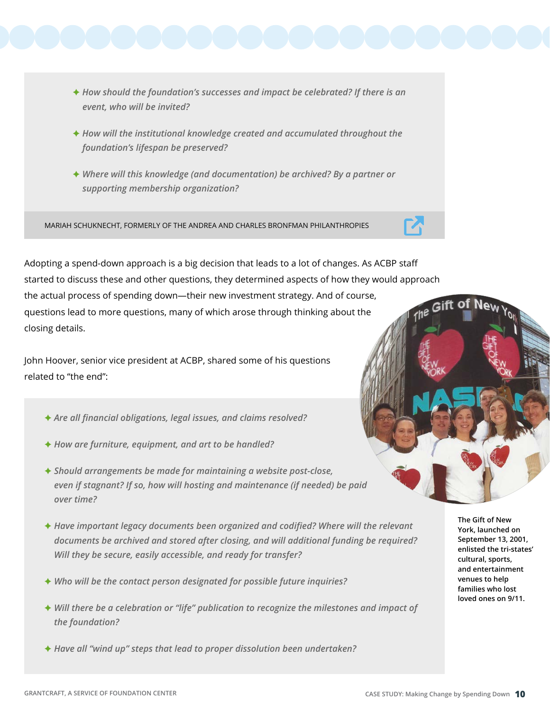- **★ How should the foundation's successes and impact be celebrated? If there is an** *event, who will be invited?*
- **★ How will the institutional knowledge created and accumulated throughout the** *foundation's lifespan be preserved?*
- ◆ Where will this knowledge (and documentation) be archived? By a partner or *supporting membership organization?*

MARIAH SCHUKNECHT, FORMERLY OF THE ANDREA AND CHARLES BRONFMAN PHILANTHROPIES

Adopting a spend-down approach is a big decision that leads to a lot of changes. As ACBP staff started to discuss these and other questions, they determined aspects of how they would approach the actual process of spending down—their new investment strategy. And of course, questions lead to more questions, many of which arose through thinking about the closing details.

John Hoover, senior vice president at ACBP, shared some of his questions related to "the end":

- F *Are all financial obligations, legal issues, and claims resolved?*
- F *How are furniture, equipment, and art to be handled?*
- F *Should arrangements be made for maintaining a website post-close, even if stagnant? If so, how will hosting and maintenance (if needed) be paid over time?*
- **★ Have important legacy documents been organized and codified? Where will the relevant** *documents be archived and stored after closing, and will additional funding be required? Will they be secure, easily accessible, and ready for transfer?*
- F *Who will be the contact person designated for possible future inquiries?*
- **★ Will there be a celebration or "life" publication to recognize the milestones and impact of** *the foundation?*
- **★ Have all "wind up" steps that lead to proper dissolution been undertaken?**

**The Gift of New York, launched on September 13, 2001, enlisted the tri-states' cultural, sports, and entertainment venues to help families who lost loved ones on 9/11.**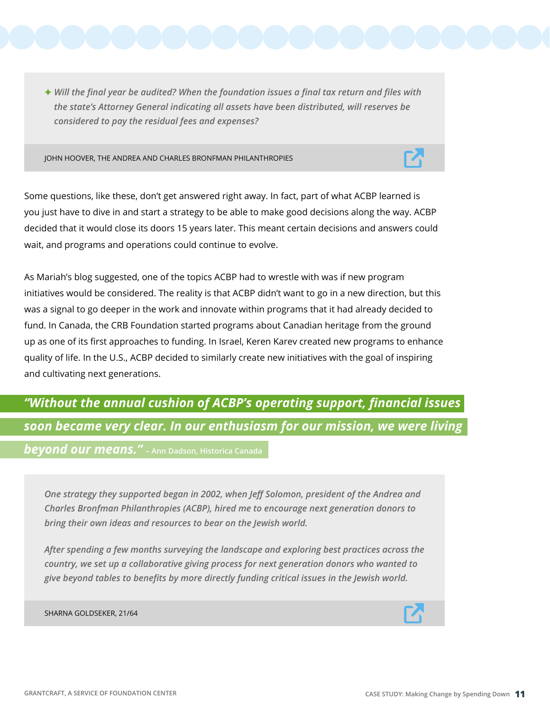F *Will the final year be audited? When the foundation issues a final tax return and files with the state's Attorney General indicating all assets have been distributed, will reserves be considered to pay the residual fees and expenses?* 

JOHN HOOVER, THE ANDREA AND CHARLES BRONFMAN PHILANTHROPIES



Some questions, like these, don't get answered right away. In fact, part of what ACBP learned is you just have to dive in and start a strategy to be able to make good decisions along the way. ACBP decided that it would close its doors 15 years later. This meant certain decisions and answers could wait, and programs and operations could continue to evolve.

As Mariah's blog suggested, one of the topics ACBP had to wrestle with was if new program initiatives would be considered. The reality is that ACBP didn't want to go in a new direction, but this was a signal to go deeper in the work and innovate within programs that it had already decided to fund. In Canada, the CRB Foundation started programs about Canadian heritage from the ground up as one of its first approaches to funding. In Israel, Keren Karev created new programs to enhance quality of life. In the U.S., ACBP decided to similarly create new initiatives with the goal of inspiring and cultivating next generations.

## *"Without the annual cushion of ACBP's operating support, financial issues soon became very clear. In our enthusiasm for our mission, we were living*

*beyond our means."* **– Ann Dadson, Historica Canada**

*One strategy they supported began in 2002, when Jeff Solomon, president of the Andrea and Charles Bronfman Philanthropies (ACBP), hired me to encourage next generation donors to bring their own ideas and resources to bear on the Jewish world.*

*After spending a few months surveying the landscape and exploring best practices across the country, we set up a collaborative giving process for next generation donors who wanted to give beyond tables to benefits by more directly funding critical issues in the Jewish world.*

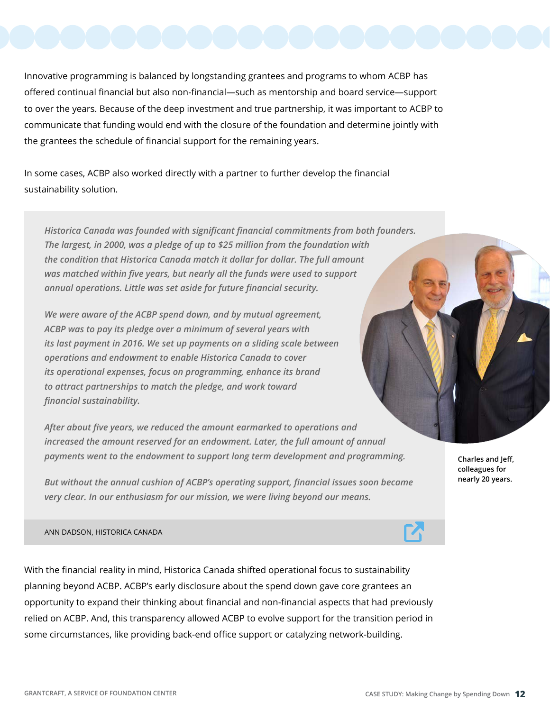Innovative programming is balanced by longstanding grantees and programs to whom ACBP has offered continual financial but also non-financial—such as mentorship and board service—support to over the years. Because of the deep investment and true partnership, it was important to ACBP to communicate that funding would end with the closure of the foundation and determine jointly with the grantees the schedule of financial support for the remaining years.

In some cases, ACBP also worked directly with a partner to further develop the financial sustainability solution.

*Historica Canada was founded with significant financial commitments from both founders. The largest, in 2000, was a pledge of up to \$25 million from the foundation with the condition that Historica Canada match it dollar for dollar. The full amount was matched within five years, but nearly all the funds were used to support annual operations. Little was set aside for future financial security.*

*We were aware of the ACBP spend down, and by mutual agreement, ACBP was to pay its pledge over a minimum of several years with its last payment in 2016. We set up payments on a sliding scale between operations and endowment to enable Historica Canada to cover its operational expenses, focus on programming, enhance its brand to attract partnerships to match the pledge, and work toward financial sustainability.*

*After about five years, we reduced the amount earmarked to operations and increased the amount reserved for an endowment. Later, the full amount of annual payments went to the endowment to support long term development and programming.*

*But without the annual cushion of ACBP's operating support, financial issues soon became very clear. In our enthusiasm for our mission, we were living beyond our means.* 

ANN DADSON, HISTORICA CANADA

With the financial reality in mind, Historica Canada shifted operational focus to sustainability planning beyond ACBP. ACBP's early disclosure about the spend down gave core grantees an opportunity to expand their thinking about financial and non-financial aspects that had previously relied on ACBP. And, this transparency allowed ACBP to evolve support for the transition period in some circumstances, like providing back-end office support or catalyzing network-building.

**Charles and Jeff, colleagues for nearly 20 years.**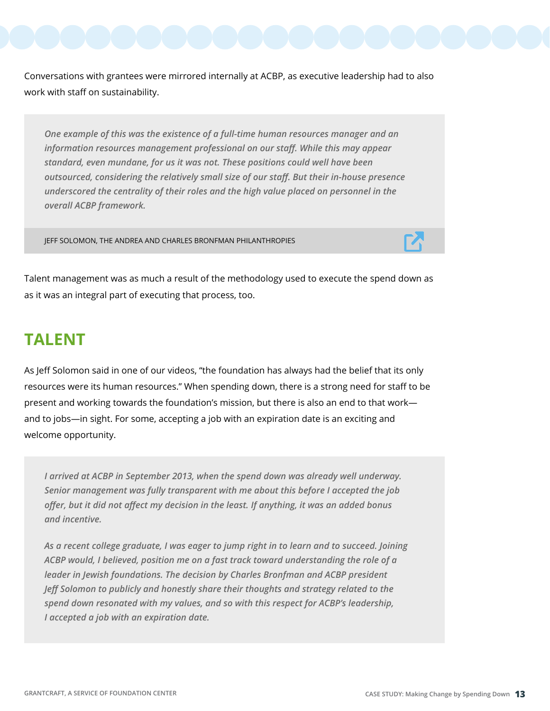Conversations with grantees were mirrored internally at ACBP, as executive leadership had to also work with staff on sustainability.

*One example of this was the existence of a full-time human resources manager and an information resources management professional on our staff. While this may appear standard, even mundane, for us it was not. These positions could well have been outsourced, considering the relatively small size of our staff. But their in-house presence underscored the centrality of their roles and the high value placed on personnel in the overall ACBP framework.* 

JEFF SOLOMON, THE ANDREA AND CHARLES BRONFMAN PHILANTHROPIES



Talent management was as much a result of the methodology used to execute the spend down as as it was an integral part of executing that process, too.

#### **TALENT**

As Jeff Solomon said in one of our videos, "the foundation has always had the belief that its only resources were its human resources." When spending down, there is a strong need for staff to be present and working towards the foundation's mission, but there is also an end to that work and to jobs—in sight. For some, accepting a job with an expiration date is an exciting and welcome opportunity.

*I arrived at ACBP in September 2013, when the spend down was already well underway. Senior management was fully transparent with me about this before I accepted the job offer, but it did not affect my decision in the least. If anything, it was an added bonus and incentive.*

*As a recent college graduate, I was eager to jump right in to learn and to succeed. Joining ACBP would, I believed, position me on a fast track toward understanding the role of a leader in Jewish foundations. The decision by Charles Bronfman and ACBP president Jeff Solomon to publicly and honestly share their thoughts and strategy related to the spend down resonated with my values, and so with this respect for ACBP's leadership, I accepted a job with an expiration date.*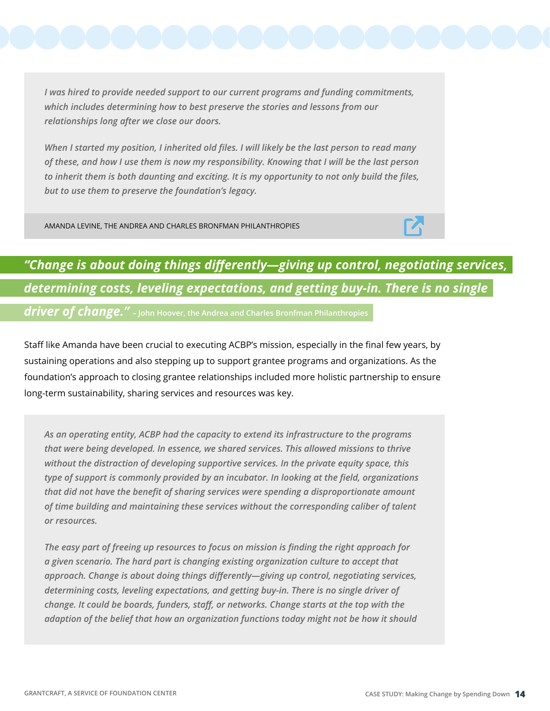*I was hired to provide needed support to our current programs and funding commitments, which includes determining how to best preserve the stories and lessons from our relationships long after we close our doors.*

*When I started my position, I inherited old files. I will likely be the last person to read many of these, and how I use them is now my responsibility. Knowing that I will be the last person to inherit them is both daunting and exciting. It is my opportunity to not only build the files, but to use them to preserve the foundation's legacy.*

AMANDA LEVINE, THE ANDREA AND CHARLES BRONFMAN PHILANTHROPIES



## *"Change is about doing things differently—giving up control, negotiating services, determining costs, leveling expectations, and getting buy-in. There is no single driver of change."* **– John Hoover, the Andrea and Charles Bronfman Philanthropies**

Staff like Amanda have been crucial to executing ACBP's mission, especially in the final few years, by sustaining operations and also stepping up to support grantee programs and organizations. As the foundation's approach to closing grantee relationships included more holistic partnership to ensure long-term sustainability, sharing services and resources was key.

*As an operating entity, ACBP had the capacity to extend its infrastructure to the programs that were being developed. In essence, we shared services. This allowed missions to thrive without the distraction of developing supportive services. In the private equity space, this type of support is commonly provided by an incubator. In looking at the field, organizations that did not have the benefit of sharing services were spending a disproportionate amount of time building and maintaining these services without the corresponding caliber of talent or resources.* 

*The easy part of freeing up resources to focus on mission is finding the right approach for a given scenario. The hard part is changing existing organization culture to accept that approach. Change is about doing things differently—giving up control, negotiating services, determining costs, leveling expectations, and getting buy-in. There is no single driver of change. It could be boards, funders, staff, or networks. Change starts at the top with the adaption of the belief that how an organization functions today might not be how it should*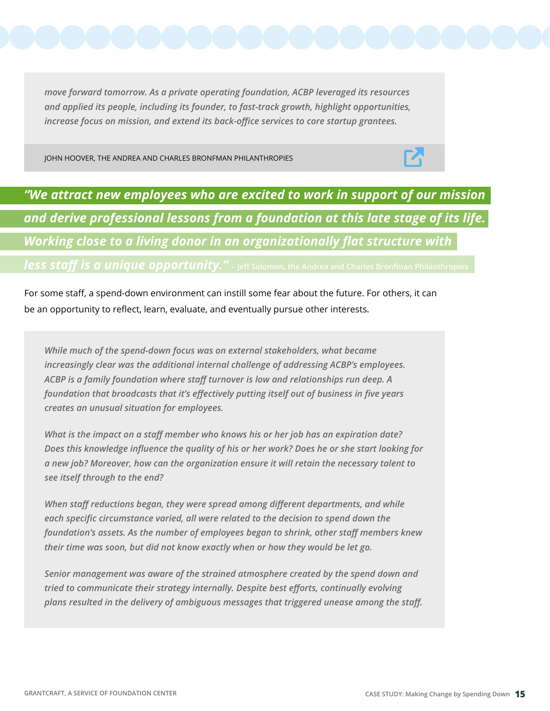*move forward tomorrow. As a private operating foundation, ACBP leveraged its resources and applied its people, including its founder, to fast-track growth, highlight opportunities, increase focus on mission, and extend its back-office services to core startup grantees.*

JOHN HOOVER, THE ANDREA AND CHARLES BRONFMAN PHILANTHROPIES



*"We attract new employees who are excited to work in support of our mission and derive professional lessons from a foundation at this late stage of its life. Working close to a living donor in an organizationally flat structure with less staff is a unique opportunity."* **- Jeff Solomon, the Andrea and Charles Bronfman Philanthropies** 

For some staff, a spend-down environment can instill some fear about the future. For others, it can be an opportunity to reflect, learn, evaluate, and eventually pursue other interests.

*While much of the spend-down focus was on external stakeholders, what became increasingly clear was the additional internal challenge of addressing ACBP's employees. ACBP is a family foundation where staff turnover is low and relationships run deep. A foundation that broadcasts that it's effectively putting itself out of business in five years creates an unusual situation for employees.*

*What is the impact on a staff member who knows his or her job has an expiration date? Does this knowledge influence the quality of his or her work? Does he or she start looking for a new job? Moreover, how can the organization ensure it will retain the necessary talent to see itself through to the end?*

*When staff reductions began, they were spread among different departments, and while each specific circumstance varied, all were related to the decision to spend down the foundation's assets. As the number of employees began to shrink, other staff members knew their time was soon, but did not know exactly when or how they would be let go.*

*Senior management was aware of the strained atmosphere created by the spend down and tried to communicate their strategy internally. Despite best efforts, continually evolving plans resulted in the delivery of ambiguous messages that triggered unease among the staff.*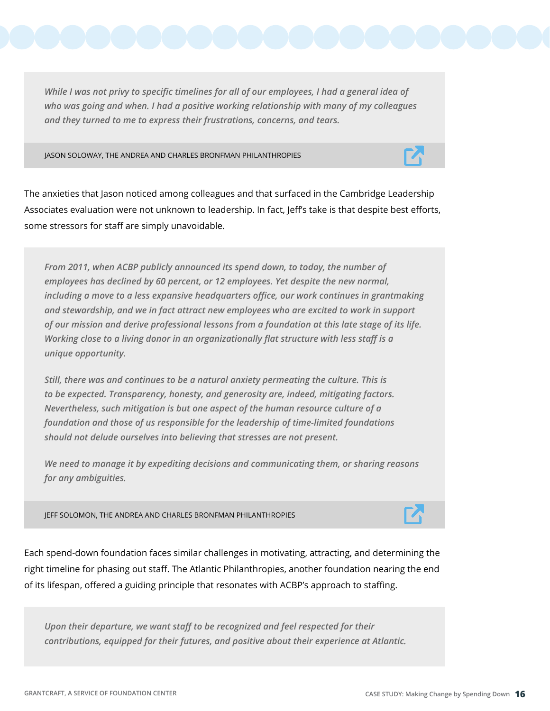*While I was not privy to specific timelines for all of our employees, I had a general idea of who was going and when. I had a positive working relationship with many of my colleagues and they turned to me to express their frustrations, concerns, and tears.*

JASON SOLOWAY, THE ANDREA AND CHARLES BRONFMAN PHILANTHROPIES



The anxieties that Jason noticed among colleagues and that surfaced in the Cambridge Leadership Associates evaluation were not unknown to leadership. In fact, Jeff's take is that despite best efforts, some stressors for staff are simply unavoidable.

*From 2011, when ACBP publicly announced its spend down, to today, the number of employees has declined by 60 percent, or 12 employees. Yet despite the new normal, including a move to a less expansive headquarters office, our work continues in grantmaking and stewardship, and we in fact attract new employees who are excited to work in support of our mission and derive professional lessons from a foundation at this late stage of its life. Working close to a living donor in an organizationally flat structure with less staff is a unique opportunity.*

*Still, there was and continues to be a natural anxiety permeating the culture. This is to be expected. Transparency, honesty, and generosity are, indeed, mitigating factors. Nevertheless, such mitigation is but one aspect of the human resource culture of a foundation and those of us responsible for the leadership of time-limited foundations should not delude ourselves into believing that stresses are not present.*

*We need to manage it by expediting decisions and communicating them, or sharing reasons for any ambiguities.*

JEFF SOLOMON, THE ANDREA AND CHARLES BRONFMAN PHILANTHROPIES



Each spend-down foundation faces similar challenges in motivating, attracting, and determining the right timeline for phasing out staff. The Atlantic Philanthropies, another foundation nearing the end of its lifespan, offered a guiding principle that resonates with ACBP's approach to staffing.

*Upon their departure, we want staff to be recognized and feel respected for their contributions, equipped for their futures, and positive about their experience at Atlantic.*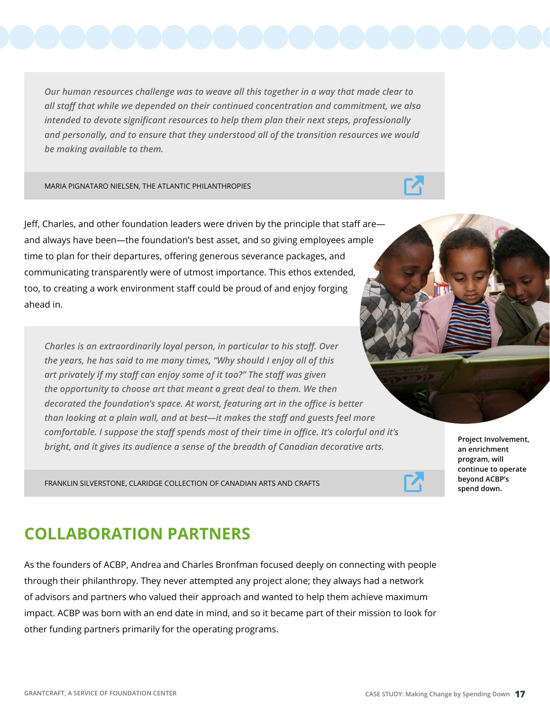*Our human resources challenge was to weave all this together in a way that made clear to all staff that while we depended on their continued concentration and commitment, we also intended to devote significant resources to help them plan their next steps, professionally and personally, and to ensure that they understood all of the transition resources we would be making available to them.*

MARIA PIGNATARO NIELSEN, THE ATLANTIC PHILANTHROPIES

Jeff, Charles, and other foundation leaders were driven by the principle that staff are and always have been—the foundation's best asset, and so giving employees ample time to plan for their departures, offering generous severance packages, and communicating transparently were of utmost importance. This ethos extended, too, to creating a work environment staff could be proud of and enjoy forging ahead in.

*Charles is an extraordinarily loyal person, in particular to his staff. Over the years, he has said to me many times, "Why should I enjoy all of this art privately if my staff can enjoy some of it too?" The staff was given the opportunity to choose art that meant a great deal to them. We then decorated the foundation's space. At worst, featuring art in the office is better than looking at a plain wall, and at best—it makes the staff and guests feel more comfortable. I suppose the staff spends most of their time in office. It's colorful and it's bright, and it gives its audience a sense of the breadth of Canadian decorative arts.*

FRANKLIN SILVERSTONE, CLARIDGE COLLECTION OF CANADIAN ARTS AND CRAFTS

**an enrichment program, will continue to operate beyond ACBP's spend down.**

**Project Involvement,** 

#### **COLLABORATION PARTNERS**

As the founders of ACBP, Andrea and Charles Bronfman focused deeply on connecting with people through their philanthropy. They never attempted any project alone; they always had a network of advisors and partners who valued their approach and wanted to help them achieve maximum impact. ACBP was born with an end date in mind, and so it became part of their mission to look for other funding partners primarily for the operating programs.

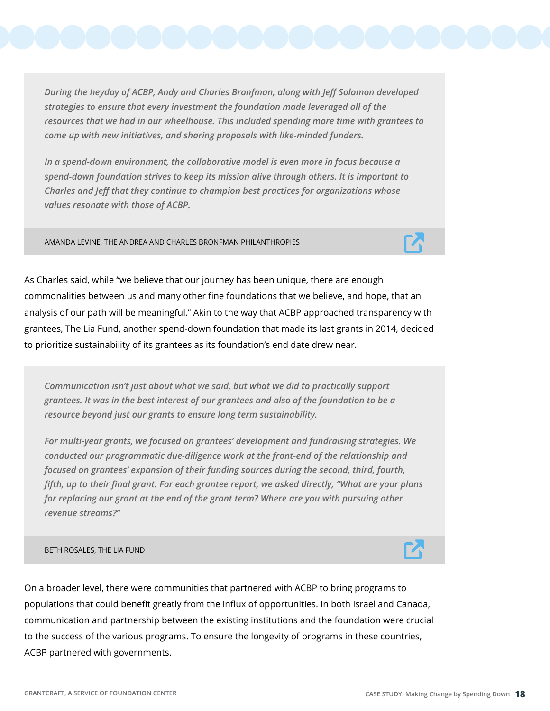*During the heyday of ACBP, Andy and Charles Bronfman, along with Jeff Solomon developed strategies to ensure that every investment the foundation made leveraged all of the resources that we had in our wheelhouse. This included spending more time with grantees to come up with new initiatives, and sharing proposals with like-minded funders.*

*In a spend-down environment, the collaborative model is even more in focus because a spend-down foundation strives to keep its mission alive through others. It is important to Charles and Jeff that they continue to champion best practices for organizations whose values resonate with those of ACBP.*

AMANDA LEVINE, THE ANDREA AND CHARLES BRONFMAN PHILANTHROPIES

As Charles said, while "we believe that our journey has been unique, there are enough commonalities between us and many other fine foundations that we believe, and hope, that an analysis of our path will be meaningful." Akin to the way that ACBP approached transparency with grantees, The Lia Fund, another spend-down foundation that made its last grants in 2014, decided to prioritize sustainability of its grantees as its foundation's end date drew near.

*Communication isn't just about what we said, but what we did to practically support grantees. It was in the best interest of our grantees and also of the foundation to be a resource beyond just our grants to ensure long term sustainability.* 

*For multi-year grants, we focused on grantees' development and fundraising strategies. We conducted our programmatic due-diligence work at the front-end of the relationship and focused on grantees' expansion of their funding sources during the second, third, fourth, fifth, up to their final grant. For each grantee report, we asked directly, "What are your plans for replacing our grant at the end of the grant term? Where are you with pursuing other revenue streams?"* 

#### BETH ROSALES, THE LIA FUND

On a broader level, there were communities that partnered with ACBP to bring programs to populations that could benefit greatly from the influx of opportunities. In both Israel and Canada, communication and partnership between the existing institutions and the foundation were crucial to the success of the various programs. To ensure the longevity of programs in these countries, ACBP partnered with governments.

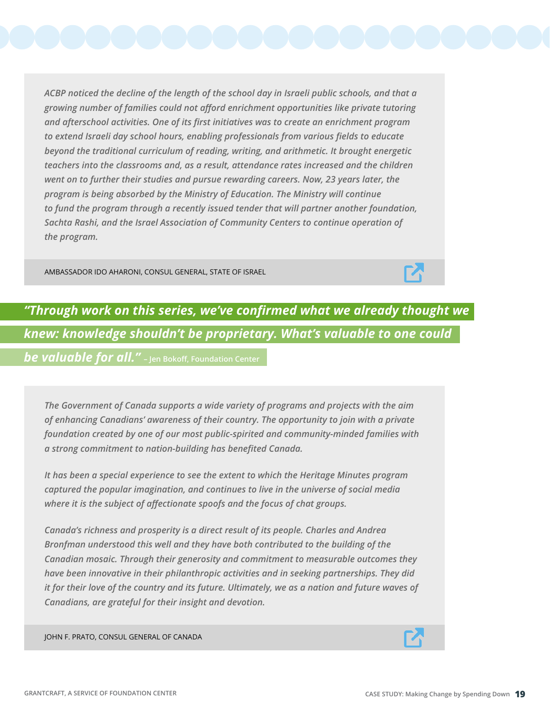*ACBP noticed the decline of the length of the school day in Israeli public schools, and that a growing number of families could not afford enrichment opportunities like private tutoring and afterschool activities. One of its first initiatives was to create an enrichment program to extend Israeli day school hours, enabling professionals from various fields to educate beyond the traditional curriculum of reading, writing, and arithmetic. It brought energetic teachers into the classrooms and, as a result, attendance rates increased and the children went on to further their studies and pursue rewarding careers. Now, 23 years later, the program is being absorbed by the Ministry of Education. The Ministry will continue to fund the program through a recently issued tender that will partner another foundation, Sachta Rashi, and the Israel Association of Community Centers to continue operation of the program.*

AMBASSADOR IDO AHARONI, CONSUL GENERAL, STATE OF ISRAEL



## *"Through work on this series, we've confirmed what we already thought we knew: knowledge shouldn't be proprietary. What's valuable to one could*

*be valuable for all."* **– Jen Bokoff, Foundation Center**

*The Government of Canada supports a wide variety of programs and projects with the aim of enhancing Canadians' awareness of their country. The opportunity to join with a private foundation created by one of our most public-spirited and community-minded families with a strong commitment to nation-building has benefited Canada.*

*It has been a special experience to see the extent to which the Heritage Minutes program captured the popular imagination, and continues to live in the universe of social media where it is the subject of affectionate spoofs and the focus of chat groups.*

*Canada's richness and prosperity is a direct result of its people. Charles and Andrea Bronfman understood this well and they have both contributed to the building of the Canadian mosaic. Through their generosity and commitment to measurable outcomes they have been innovative in their philanthropic activities and in seeking partnerships. They did it for their love of the country and its future. Ultimately, we as a nation and future waves of Canadians, are grateful for their insight and devotion.*

JOHN F. PRATO, CONSUL GENERAL OF CANADA

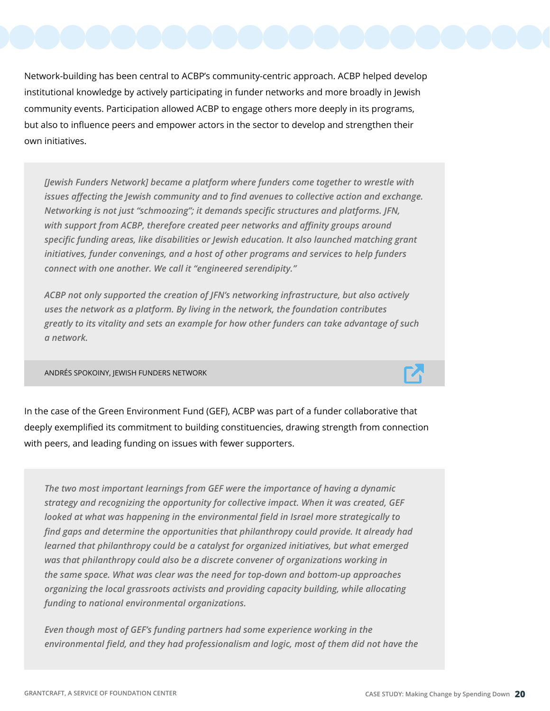Network-building has been central to ACBP's community-centric approach. ACBP helped develop institutional knowledge by actively participating in funder networks and more broadly in Jewish community events. Participation allowed ACBP to engage others more deeply in its programs, but also to influence peers and empower actors in the sector to develop and strengthen their own initiatives.

*[Jewish Funders Network] became a platform where funders come together to wrestle with issues affecting the Jewish community and to find avenues to collective action and exchange. Networking is not just "schmoozing"; it demands specific structures and platforms. JFN, with support from ACBP, therefore created peer networks and affinity groups around specific funding areas, like disabilities or Jewish education. It also launched matching grant initiatives, funder convenings, and a host of other programs and services to help funders connect with one another. We call it "engineered serendipity."* 

*ACBP not only supported the creation of JFN's networking infrastructure, but also actively uses the network as a platform. By living in the network, the foundation contributes greatly to its vitality and sets an example for how other funders can take advantage of such a network.*

ANDRÉS SPOKOINY, JEWISH FUNDERS NETWORK

In the case of the Green Environment Fund (GEF), ACBP was part of a funder collaborative that deeply exemplified its commitment to building constituencies, drawing strength from connection with peers, and leading funding on issues with fewer supporters.

*The two most important learnings from GEF were the importance of having a dynamic strategy and recognizing the opportunity for collective impact. When it was created, GEF looked at what was happening in the environmental field in Israel more strategically to find gaps and determine the opportunities that philanthropy could provide. It already had learned that philanthropy could be a catalyst for organized initiatives, but what emerged was that philanthropy could also be a discrete convener of organizations working in the same space. What was clear was the need for top-down and bottom-up approaches organizing the local grassroots activists and providing capacity building, while allocating funding to national environmental organizations.*

*Even though most of GEF's funding partners had some experience working in the environmental field, and they had professionalism and logic, most of them did not have the* 

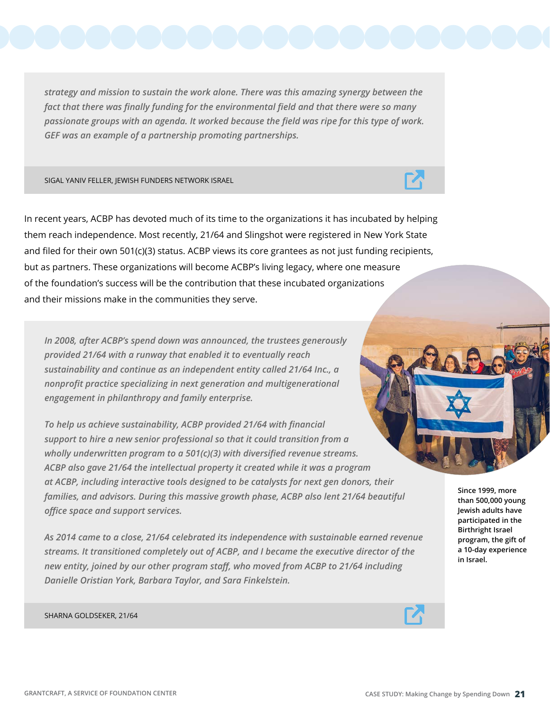*strategy and mission to sustain the work alone. There was this amazing synergy between the fact that there was finally funding for the environmental field and that there were so many passionate groups with an agenda. It worked because the field was ripe for this type of work. GEF was an example of a partnership promoting partnerships.*

SIGAL YANIV FELLER, JEWISH FUNDERS NETWORK ISRAEL

In recent years, ACBP has devoted much of its time to the organizations it has incubated by helping them reach independence. Most recently, 21/64 and Slingshot were registered in New York State and filed for their own 501(c)(3) status. ACBP views its core grantees as not just funding recipients, but as partners. These organizations will become ACBP's living legacy, where one measure of the foundation's success will be the contribution that these incubated organizations and their missions make in the communities they serve.

*In 2008, after ACBP's spend down was announced, the trustees generously provided 21/64 with a runway that enabled it to eventually reach sustainability and continue as an independent entity called 21/64 Inc., a nonprofit practice specializing in next generation and multigenerational engagement in philanthropy and family enterprise.*

*To help us achieve sustainability, ACBP provided 21/64 with financial support to hire a new senior professional so that it could transition from a wholly underwritten program to a 501(c)(3) with diversified revenue streams. ACBP also gave 21/64 the intellectual property it created while it was a program at ACBP, including interactive tools designed to be catalysts for next gen donors, their families, and advisors. During this massive growth phase, ACBP also lent 21/64 beautiful office space and support services.*

*As 2014 came to a close, 21/64 celebrated its independence with sustainable earned revenue streams. It transitioned completely out of ACBP, and I became the executive director of the new entity, joined by our other program staff, who moved from ACBP to 21/64 including Danielle Oristian York, Barbara Taylor, and Sara Finkelstein.*

**program, the gift of a 10-day experience in Israel.** 

**Since 1999, more than 500,000 young Jewish adults have participated in the Birthright Israel** 

SHARNA GOLDSEKER, 21/64





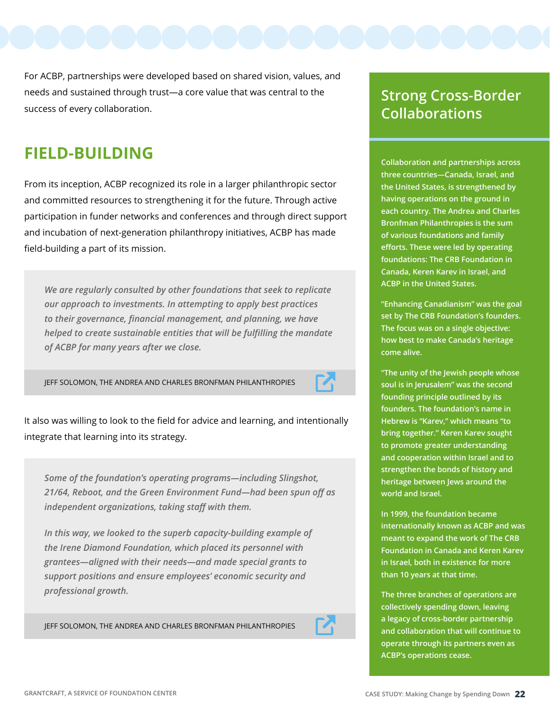For ACBP, partnerships were developed based on shared vision, values, and needs and sustained through trust—a core value that was central to the success of every collaboration.

### **FIELD-BUILDING**

From its inception, ACBP recognized its role in a larger philanthropic sector and committed resources to strengthening it for the future. Through active participation in funder networks and conferences and through direct support and incubation of next-generation philanthropy initiatives, ACBP has made field-building a part of its mission.

*We are regularly consulted by other foundations that seek to replicate our approach to investments. In attempting to apply best practices to their governance, financial management, and planning, we have helped to create sustainable entities that will be fulfilling the mandate of ACBP for many years after we close.*

JEFF SOLOMON, THE ANDREA AND CHARLES BRONFMAN PHILANTHROPIES



It also was willing to look to the field for advice and learning, and intentionally integrate that learning into its strategy.

*Some of the foundation's operating programs—including Slingshot, 21/64, Reboot, and the Green Environment Fund—had been spun off as independent organizations, taking staff with them.*

*In this way, we looked to the superb capacity-building example of the Irene Diamond Foundation, which placed its personnel with grantees—aligned with their needs—and made special grants to support positions and ensure employees' economic security and professional growth.*

JEFF SOLOMON, THE ANDREA AND CHARLES BRONFMAN PHILANTHROPIES



#### **Strong Cross-Border Collaborations**

**Collaboration and partnerships across three countries—Canada, Israel, and the United States, is strengthened by having operations on the ground in each country. The Andrea and Charles Bronfman Philanthropies is the sum of various foundations and family efforts. These were led by operating foundations: The CRB Foundation in Canada, Keren Karev in Israel, and ACBP in the United States.**

**"Enhancing Canadianism" was the goal set by The CRB Foundation's founders. The focus was on a single objective: how best to make Canada's heritage come alive.** 

**"The unity of the Jewish people whose soul is in Jerusalem" was the second founding principle outlined by its founders. The foundation's name in Hebrew is "Karev," which means "to bring together." Keren Karev sought to promote greater understanding and cooperation within Israel and to strengthen the bonds of history and heritage between Jews around the world and Israel.**

**In 1999, the foundation became internationally known as ACBP and was meant to expand the work of The CRB Foundation in Canada and Keren Karev in Israel, both in existence for more than 10 years at that time.** 

**The three branches of operations are collectively spending down, leaving a legacy of cross-border partnership and collaboration that will continue to operate through its partners even as ACBP's operations cease.**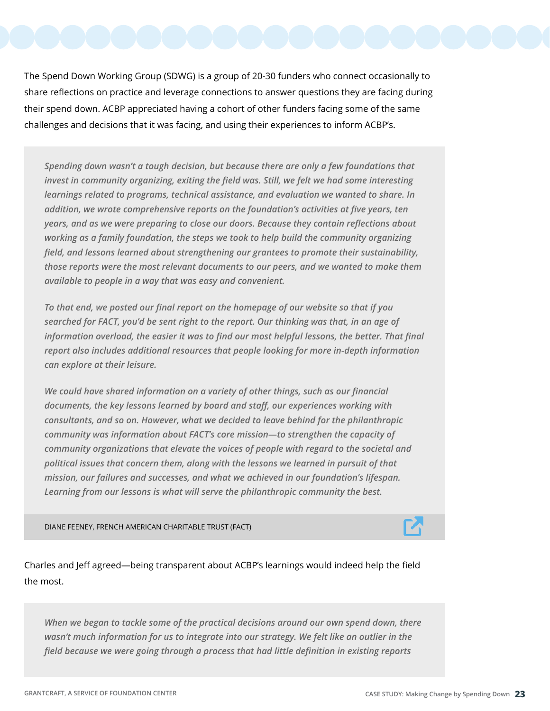The Spend Down Working Group (SDWG) is a group of 20-30 funders who connect occasionally to share reflections on practice and leverage connections to answer questions they are facing during their spend down. ACBP appreciated having a cohort of other funders facing some of the same challenges and decisions that it was facing, and using their experiences to inform ACBP's.

*Spending down wasn't a tough decision, but because there are only a few foundations that invest in community organizing, exiting the field was. Still, we felt we had some interesting learnings related to programs, technical assistance, and evaluation we wanted to share. In addition, we wrote comprehensive reports on the foundation's activities at five years, ten years, and as we were preparing to close our doors. Because they contain reflections about working as a family foundation, the steps we took to help build the community organizing field, and lessons learned about strengthening our grantees to promote their sustainability, those reports were the most relevant documents to our peers, and we wanted to make them available to people in a way that was easy and convenient.* 

*To that end, we posted our final report on the homepage of our website so that if you searched for FACT, you'd be sent right to the report. Our thinking was that, in an age of information overload, the easier it was to find our most helpful lessons, the better. That final report also includes additional resources that people looking for more in-depth information can explore at their leisure.*

*We could have shared information on a variety of other things, such as our financial documents, the key lessons learned by board and staff, our experiences working with consultants, and so on. However, what we decided to leave behind for the philanthropic community was information about FACT's core mission—to strengthen the capacity of community organizations that elevate the voices of people with regard to the societal and political issues that concern them, along with the lessons we learned in pursuit of that mission, our failures and successes, and what we achieved in our foundation's lifespan. Learning from our lessons is what will serve the philanthropic community the best.*

DIANE FEENEY, FRENCH AMERICAN CHARITABLE TRUST (FACT)

Charles and Jeff agreed—being transparent about ACBP's learnings would indeed help the field the most.

*When we began to tackle some of the practical decisions around our own spend down, there wasn't much information for us to integrate into our strategy. We felt like an outlier in the field because we were going through a process that had little definition in existing reports* 

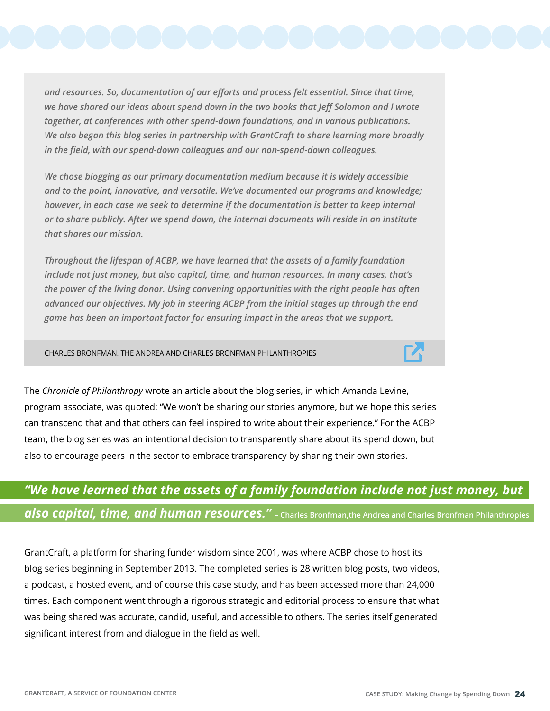*and resources. So, documentation of our efforts and process felt essential. Since that time, we have shared our ideas about spend down in the two books that Jeff Solomon and I wrote together, at conferences with other spend-down foundations, and in various publications. We also began this blog series in partnership with GrantCraft to share learning more broadly in the field, with our spend-down colleagues and our non-spend-down colleagues.*

*We chose blogging as our primary documentation medium because it is widely accessible and to the point, innovative, and versatile. We've documented our programs and knowledge; however, in each case we seek to determine if the documentation is better to keep internal or to share publicly. After we spend down, the internal documents will reside in an institute that shares our mission.*

*Throughout the lifespan of ACBP, we have learned that the assets of a family foundation include not just money, but also capital, time, and human resources. In many cases, that's the power of the living donor. Using convening opportunities with the right people has often advanced our objectives. My job in steering ACBP from the initial stages up through the end game has been an important factor for ensuring impact in the areas that we support.*

CHARLES BRONFMAN, THE ANDREA AND CHARLES BRONFMAN PHILANTHROPIES

The *Chronicle of Philanthropy* wrote an article about the blog series, in which Amanda Levine, program associate, was quoted: "We won't be sharing our stories anymore, but we hope this series can transcend that and that others can feel inspired to write about their experience." For the ACBP team, the blog series was an intentional decision to transparently share about its spend down, but also to encourage peers in the sector to embrace transparency by sharing their own stories.

#### *"We have learned that the assets of a family foundation include not just money, but also capital, time, and human resources."* **– Charles Bronfman,the Andrea and Charles Bronfman Philanthropies**

GrantCraft, a platform for sharing funder wisdom since 2001, was where ACBP chose to host its blog series beginning in September 2013. The completed series is 28 written blog posts, two videos, a podcast, a hosted event, and of course this case study, and has been accessed more than 24,000 times. Each component went through a rigorous strategic and editorial process to ensure that what was being shared was accurate, candid, useful, and accessible to others. The series itself generated significant interest from and dialogue in the field as well.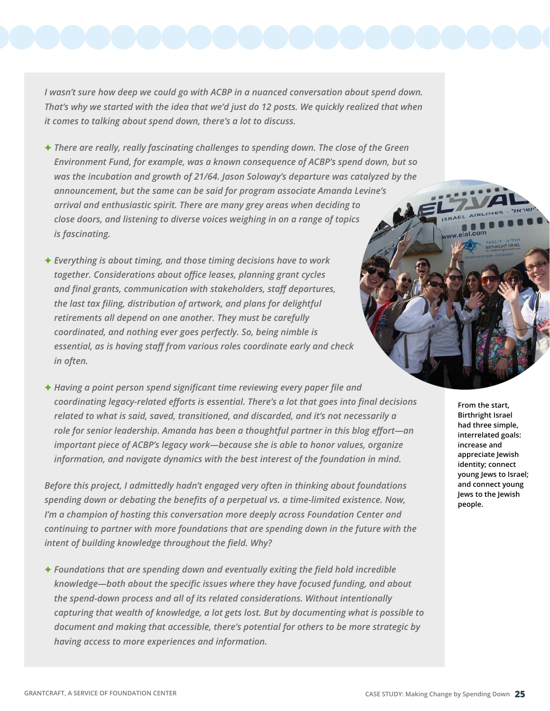*I wasn't sure how deep we could go with ACBP in a nuanced conversation about spend down. That's why we started with the idea that we'd just do 12 posts. We quickly realized that when it comes to talking about spend down, there's a lot to discuss.* 

- F *There are really, really fascinating challenges to spending down. The close of the Green Environment Fund, for example, was a known consequence of ACBP's spend down, but so was the incubation and growth of 21/64. Jason Soloway's departure was catalyzed by the announcement, but the same can be said for program associate Amanda Levine's arrival and enthusiastic spirit. There are many grey areas when deciding to close doors, and listening to diverse voices weighing in on a range of topics is fascinating.*
- **★ Everything is about timing, and those timing decisions have to work** *together. Considerations about office leases, planning grant cycles and final grants, communication with stakeholders, staff departures, the last tax filing, distribution of artwork, and plans for delightful retirements all depend on one another. They must be carefully coordinated, and nothing ever goes perfectly. So, being nimble is essential, as is having staff from various roles coordinate early and check in often.*
- **★ Having a point person spend significant time reviewing every paper file and** *coordinating legacy-related efforts is essential. There's a lot that goes into final decisions related to what is said, saved, transitioned, and discarded, and it's not necessarily a role for senior leadership. Amanda has been a thoughtful partner in this blog effort—an important piece of ACBP's legacy work—because she is able to honor values, organize information, and navigate dynamics with the best interest of the foundation in mind.*

*Before this project, I admittedly hadn't engaged very often in thinking about foundations spending down or debating the benefits of a perpetual vs. a time-limited existence. Now, I'm a champion of hosting this conversation more deeply across Foundation Center and continuing to partner with more foundations that are spending down in the future with the intent of building knowledge throughout the field. Why?*

**★ Foundations that are spending down and eventually exiting the field hold incredible** *knowledge—both about the specific issues where they have focused funding, and about the spend-down process and all of its related considerations. Without intentionally capturing that wealth of knowledge, a lot gets lost. But by documenting what is possible to document and making that accessible, there's potential for others to be more strategic by having access to more experiences and information.*

**From the start, Birthright Israel had three simple, interrelated goals: increase and appreciate Jewish identity; connect young Jews to Israel; and connect young Jews to the Jewish people.**

ww.elal.com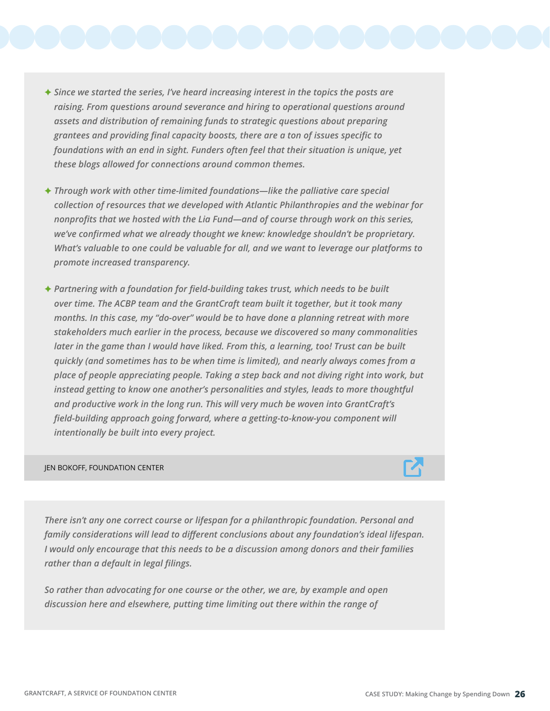- F *Since we started the series, I've heard increasing interest in the topics the posts are raising. From questions around severance and hiring to operational questions around assets and distribution of remaining funds to strategic questions about preparing grantees and providing final capacity boosts, there are a ton of issues specific to foundations with an end in sight. Funders often feel that their situation is unique, yet these blogs allowed for connections around common themes.*
- **★ Through work with other time-limited foundations—like the palliative care special** *collection of resources that we developed with Atlantic Philanthropies and the webinar for nonprofits that we hosted with the Lia Fund—and of course through work on this series, we've confirmed what we already thought we knew: knowledge shouldn't be proprietary. What's valuable to one could be valuable for all, and we want to leverage our platforms to promote increased transparency.*
- ◆ Partnering with a foundation for field-building takes trust, which needs to be built *over time. The ACBP team and the GrantCraft team built it together, but it took many months. In this case, my "do-over" would be to have done a planning retreat with more stakeholders much earlier in the process, because we discovered so many commonalities later in the game than I would have liked. From this, a learning, too! Trust can be built quickly (and sometimes has to be when time is limited), and nearly always comes from a place of people appreciating people. Taking a step back and not diving right into work, but instead getting to know one another's personalities and styles, leads to more thoughtful and productive work in the long run. This will very much be woven into GrantCraft's field-building approach going forward, where a getting-to-know-you component will intentionally be built into every project.*

#### JEN BOKOFF, FOUNDATION CENTER

*There isn't any one correct course or lifespan for a philanthropic foundation. Personal and family considerations will lead to different conclusions about any foundation's ideal lifespan. I would only encourage that this needs to be a discussion among donors and their families rather than a default in legal filings.*

*So rather than advocating for one course or the other, we are, by example and open discussion here and elsewhere, putting time limiting out there within the range of* 

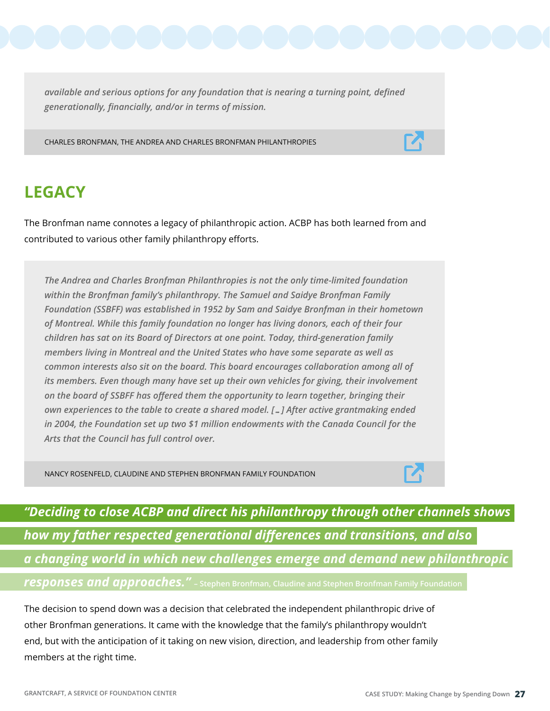*available and serious options for any foundation that is nearing a turning point, defined generationally, financially, and/or in terms of mission.*

CHARLES BRONFMAN, THE ANDREA AND CHARLES BRONFMAN PHILANTHROPIES

## **LEGACY**

The Bronfman name connotes a legacy of philanthropic action. ACBP has both learned from and contributed to various other family philanthropy efforts.

*The Andrea and Charles Bronfman Philanthropies is not the only time-limited foundation within the Bronfman family's philanthropy. The Samuel and Saidye Bronfman Family Foundation (SSBFF) was established in 1952 by Sam and Saidye Bronfman in their hometown of Montreal. While this family foundation no longer has living donors, each of their four children has sat on its Board of Directors at one point. Today, third-generation family members living in Montreal and the United States who have some separate as well as common interests also sit on the board. This board encourages collaboration among all of its members. Even though many have set up their own vehicles for giving, their involvement on the board of SSBFF has offered them the opportunity to learn together, bringing their own experiences to the table to create a shared model. […] After active grantmaking ended in 2004, the Foundation set up two \$1 million endowments with the Canada Council for the Arts that the Council has full control over.*

NANCY ROSENFELD, CLAUDINE AND STEPHEN BRONFMAN FAMILY FOUNDATION



*"Deciding to close ACBP and direct his philanthropy through other channels shows how my father respected generational differences and transitions, and also a changing world in which new challenges emerge and demand new philanthropic responses and approaches."* **– Stephen Bronfman, Claudine and Stephen Bronfman Family Foundation**

The decision to spend down was a decision that celebrated the independent philanthropic drive of other Bronfman generations. It came with the knowledge that the family's philanthropy wouldn't end, but with the anticipation of it taking on new vision, direction, and leadership from other family members at the right time.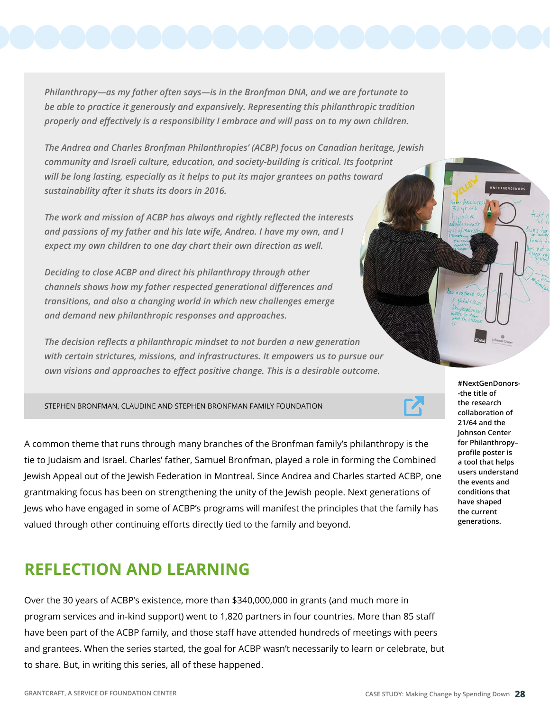*Philanthropy—as my father often says—is in the Bronfman DNA, and we are fortunate to be able to practice it generously and expansively. Representing this philanthropic tradition properly and effectively is a responsibility I embrace and will pass on to my own children.*

*The Andrea and Charles Bronfman Philanthropies' (ACBP) focus on Canadian heritage, Jewish community and Israeli culture, education, and society-building is critical. Its footprint will be long lasting, especially as it helps to put its major grantees on paths toward sustainability after it shuts its doors in 2016.*

*The work and mission of ACBP has always and rightly reflected the interests and passions of my father and his late wife, Andrea. I have my own, and I expect my own children to one day chart their own direction as well.*

*Deciding to close ACBP and direct his philanthropy through other channels shows how my father respected generational differences and transitions, and also a changing world in which new challenges emerge and demand new philanthropic responses and approaches.*

*The decision reflects a philanthropic mindset to not burden a new generation with certain strictures, missions, and infrastructures. It empowers us to pursue our own visions and approaches to effect positive change. This is a desirable outcome.*

STEPHEN BRONFMAN, CLAUDINE AND STEPHEN BRONFMAN FAMILY FOUNDATION

A common theme that runs through many branches of the Bronfman family's philanthropy is the tie to Judaism and Israel. Charles' father, Samuel Bronfman, played a role in forming the Combined Jewish Appeal out of the Jewish Federation in Montreal. Since Andrea and Charles started ACBP, one grantmaking focus has been on strengthening the unity of the Jewish people. Next generations of Jews who have engaged in some of ACBP's programs will manifest the principles that the family has valued through other continuing efforts directly tied to the family and beyond.

#### **REFLECTION AND LEARNING**

Over the 30 years of ACBP's existence, more than \$340,000,000 in grants (and much more in program services and in-kind support) went to 1,820 partners in four countries. More than 85 staff have been part of the ACBP family, and those staff have attended hundreds of meetings with peers and grantees. When the series started, the goal for ACBP wasn't necessarily to learn or celebrate, but to share. But, in writing this series, all of these happened.



**NEXTCENDONOR**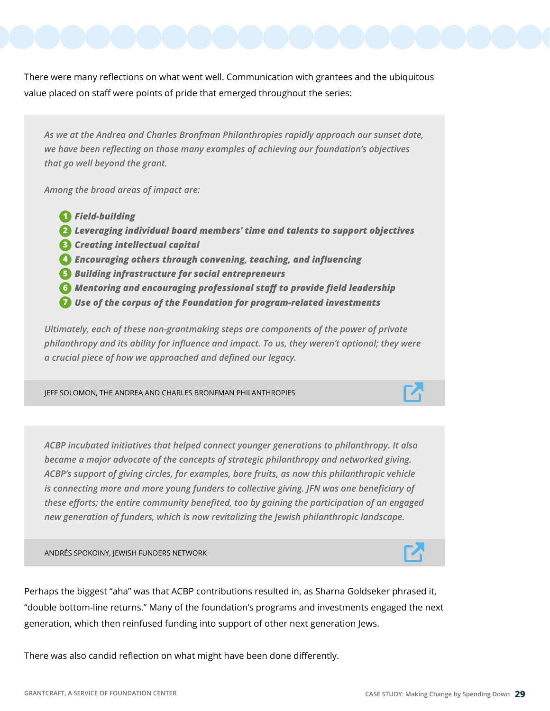There were many reflections on what went well. Communication with grantees and the ubiquitous value placed on staff were points of pride that emerged throughout the series:

*As we at the Andrea and Charles Bronfman Philanthropies rapidly approach our sunset date, we have been reflecting on those many examples of achieving our foundation's objectives that go well beyond the grant.*

*Among the broad areas of impact are:* 

- *Field-building* **1**
- *Leveraging individual board members' time and talents to support objectives* **2**
- *Creating intellectual capital* **3**
- *Encouraging others through convening, teaching, and influencing* **4**
- *B* Building infrastructure for social entrepreneurs
- *Mentoring and encouraging professional staff to provide field leadership* **6**
- *Use of the corpus of the Foundation for program-related investments* **7**

*Ultimately, each of these non-grantmaking steps are components of the power of private philanthropy and its ability for influence and impact. To us, they weren't optional; they were a crucial piece of how we approached and defined our legacy.*

JEFF SOLOMON, THE ANDREA AND CHARLES BRONFMAN PHILANTHROPIES

*ACBP incubated initiatives that helped connect younger generations to philanthropy. It also became a major advocate of the concepts of strategic philanthropy and networked giving. ACBP's support of giving circles, for examples, bore fruits, as now this philanthropic vehicle is connecting more and more young funders to collective giving. JFN was one beneficiary of these efforts; the entire community benefited, too by gaining the participation of an engaged new generation of funders, which is now revitalizing the Jewish philanthropic landscape.*

ANDRÉS SPOKOINY, JEWISH FUNDERS NETWORK

Perhaps the biggest "aha" was that ACBP contributions resulted in, as Sharna Goldseker phrased it, "double bottom-line returns." Many of the foundation's programs and investments engaged the next generation, which then reinfused funding into support of other next generation Jews.

There was also candid reflection on what might have been done differently.



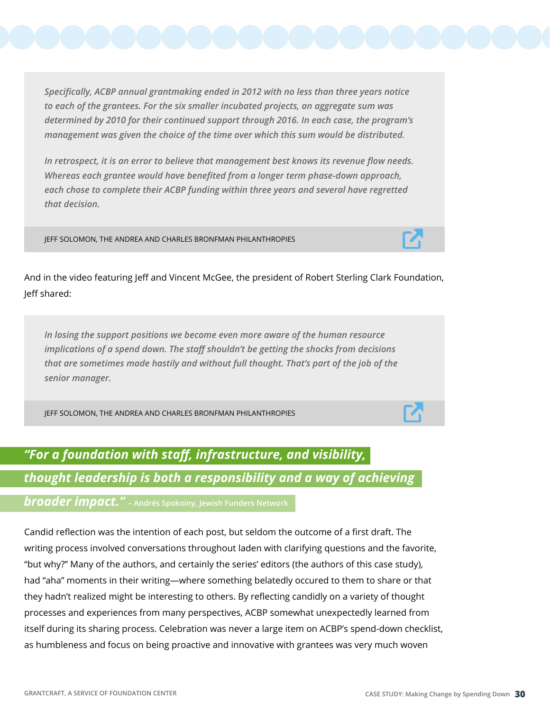*Specifically, ACBP annual grantmaking ended in 2012 with no less than three years notice to each of the grantees. For the six smaller incubated projects, an aggregate sum was determined by 2010 for their continued support through 2016. In each case, the program's management was given the choice of the time over which this sum would be distributed.*

*In retrospect, it is an error to believe that management best knows its revenue flow needs. Whereas each grantee would have benefited from a longer term phase-down approach, each chose to complete their ACBP funding within three years and several have regretted that decision.*

JEFF SOLOMON, THE ANDREA AND CHARLES BRONFMAN PHILANTHROPIES

And in the video featuring Jeff and Vincent McGee, the president of Robert Sterling Clark Foundation, Jeff shared:

*In losing the support positions we become even more aware of the human resource implications of a spend down. The staff shouldn't be getting the shocks from decisions that are sometimes made hastily and without full thought. That's part of the job of the senior manager.*

JEFF SOLOMON, THE ANDREA AND CHARLES BRONFMAN PHILANTHROPIES

## *"For a foundation with staff, infrastructure, and visibility, thought leadership is both a responsibility and a way of achieving*

*broader impact."* **– Andrés Spokoiny, Jewish Funders Network**

Candid reflection was the intention of each post, but seldom the outcome of a first draft. The writing process involved conversations throughout laden with clarifying questions and the favorite, "but why?" Many of the authors, and certainly the series' editors (the authors of this case study), had "aha" moments in their writing—where something belatedly occured to them to share or that they hadn't realized might be interesting to others. By reflecting candidly on a variety of thought processes and experiences from many perspectives, ACBP somewhat unexpectedly learned from itself during its sharing process. Celebration was never a large item on ACBP's spend-down checklist, as humbleness and focus on being proactive and innovative with grantees was very much woven



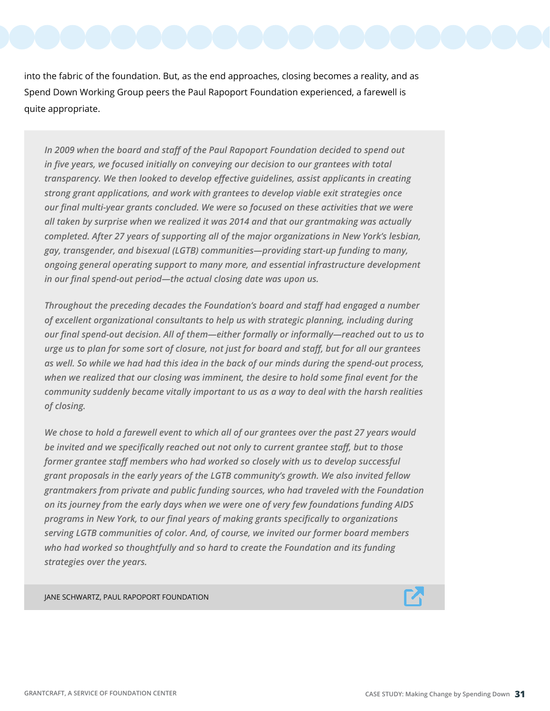into the fabric of the foundation. But, as the end approaches, closing becomes a reality, and as Spend Down Working Group peers the Paul Rapoport Foundation experienced, a farewell is quite appropriate.

*In 2009 when the board and staff of the Paul Rapoport Foundation decided to spend out in five years, we focused initially on conveying our decision to our grantees with total transparency. We then looked to develop effective guidelines, assist applicants in creating strong grant applications, and work with grantees to develop viable exit strategies once our final multi-year grants concluded. We were so focused on these activities that we were all taken by surprise when we realized it was 2014 and that our grantmaking was actually completed. After 27 years of supporting all of the major organizations in New York's lesbian, gay, transgender, and bisexual (LGTB) communities—providing start-up funding to many, ongoing general operating support to many more, and essential infrastructure development in our final spend-out period—the actual closing date was upon us.*

*Throughout the preceding decades the Foundation's board and staff had engaged a number of excellent organizational consultants to help us with strategic planning, including during our final spend-out decision. All of them—either formally or informally—reached out to us to urge us to plan for some sort of closure, not just for board and staff, but for all our grantees as well. So while we had had this idea in the back of our minds during the spend-out process, when we realized that our closing was imminent, the desire to hold some final event for the community suddenly became vitally important to us as a way to deal with the harsh realities of closing.*

*We chose to hold a farewell event to which all of our grantees over the past 27 years would be invited and we specifically reached out not only to current grantee staff, but to those former grantee staff members who had worked so closely with us to develop successful grant proposals in the early years of the LGTB community's growth. We also invited fellow grantmakers from private and public funding sources, who had traveled with the Foundation on its journey from the early days when we were one of very few foundations funding AIDS programs in New York, to our final years of making grants specifically to organizations serving LGTB communities of color. And, of course, we invited our former board members who had worked so thoughtfully and so hard to create the Foundation and its funding strategies over the years.*

JANE SCHWARTZ, PAUL RAPOPORT FOUNDATION

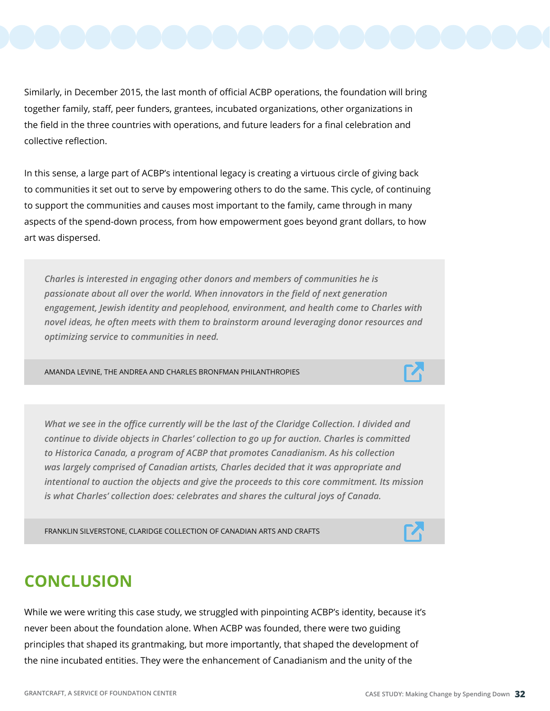Similarly, in December 2015, the last month of official ACBP operations, the foundation will bring together family, staff, peer funders, grantees, incubated organizations, other organizations in the field in the three countries with operations, and future leaders for a final celebration and collective reflection.

In this sense, a large part of ACBP's intentional legacy is creating a virtuous circle of giving back to communities it set out to serve by empowering others to do the same. This cycle, of continuing to support the communities and causes most important to the family, came through in many aspects of the spend-down process, from how empowerment goes beyond grant dollars, to how art was dispersed.

*Charles is interested in engaging other donors and members of communities he is passionate about all over the world. When innovators in the field of next generation engagement, Jewish identity and peoplehood, environment, and health come to Charles with novel ideas, he often meets with them to brainstorm around leveraging donor resources and optimizing service to communities in need.*

AMANDA LEVINE, THE ANDREA AND CHARLES BRONFMAN PHILANTHROPIES

*What we see in the office currently will be the last of the Claridge Collection. I divided and continue to divide objects in Charles' collection to go up for auction. Charles is committed to Historica Canada, a program of ACBP that promotes Canadianism. As his collection was largely comprised of Canadian artists, Charles decided that it was appropriate and intentional to auction the objects and give the proceeds to this core commitment. Its mission is what Charles' collection does: celebrates and shares the cultural joys of Canada.*

FRANKLIN SILVERSTONE, CLARIDGE COLLECTION OF CANADIAN ARTS AND CRAFTS

#### **CONCLUSION**

While we were writing this case study, we struggled with pinpointing ACBP's identity, because it's never been about the foundation alone. When ACBP was founded, there were two guiding principles that shaped its grantmaking, but more importantly, that shaped the development of the nine incubated entities. They were the enhancement of Canadianism and the unity of the



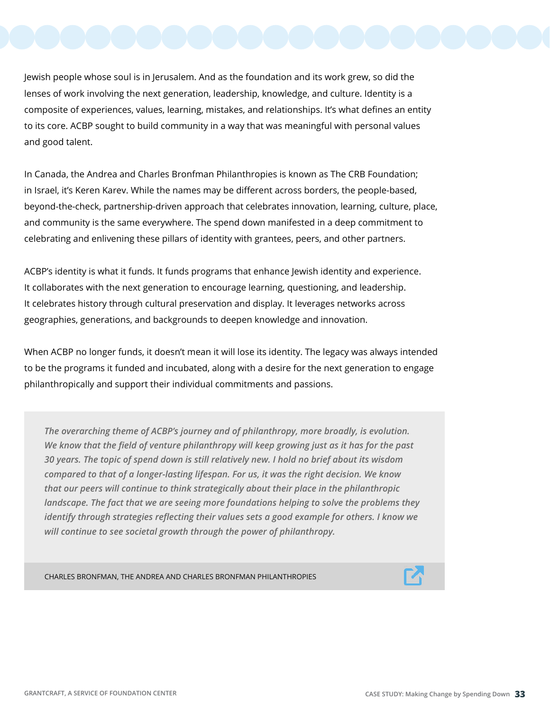Jewish people whose soul is in Jerusalem. And as the foundation and its work grew, so did the lenses of work involving the next generation, leadership, knowledge, and culture. Identity is a composite of experiences, values, learning, mistakes, and relationships. It's what defines an entity to its core. ACBP sought to build community in a way that was meaningful with personal values and good talent.

In Canada, the Andrea and Charles Bronfman Philanthropies is known as The CRB Foundation; in Israel, it's Keren Karev. While the names may be different across borders, the people-based, beyond-the-check, partnership-driven approach that celebrates innovation, learning, culture, place, and community is the same everywhere. The spend down manifested in a deep commitment to celebrating and enlivening these pillars of identity with grantees, peers, and other partners.

ACBP's identity is what it funds. It funds programs that enhance Jewish identity and experience. It collaborates with the next generation to encourage learning, questioning, and leadership. It celebrates history through cultural preservation and display. It leverages networks across geographies, generations, and backgrounds to deepen knowledge and innovation.

When ACBP no longer funds, it doesn't mean it will lose its identity. The legacy was always intended to be the programs it funded and incubated, along with a desire for the next generation to engage philanthropically and support their individual commitments and passions.

*The overarching theme of ACBP's journey and of philanthropy, more broadly, is evolution. We know that the field of venture philanthropy will keep growing just as it has for the past 30 years. The topic of spend down is still relatively new. I hold no brief about its wisdom compared to that of a longer-lasting lifespan. For us, it was the right decision. We know that our peers will continue to think strategically about their place in the philanthropic landscape. The fact that we are seeing more foundations helping to solve the problems they identify through strategies reflecting their values sets a good example for others. I know we will continue to see societal growth through the power of philanthropy.* 

CHARLES BRONFMAN, THE ANDREA AND CHARLES BRONFMAN PHILANTHROPIES